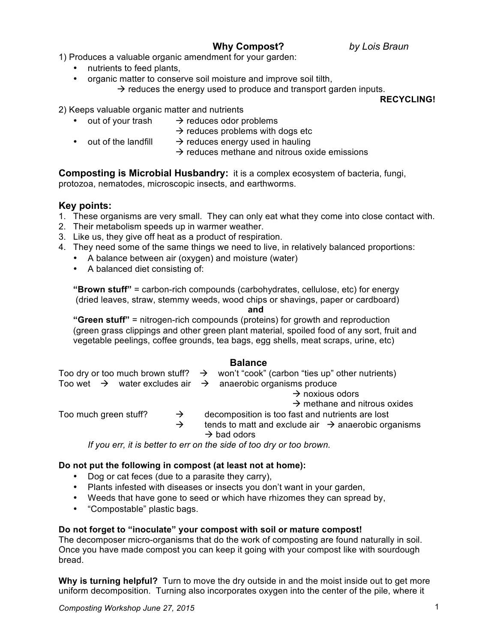# **Why Compost?** *by Lois Braun*

1) Produces a valuable organic amendment for your garden:

- nutrients to feed plants,
- organic matter to conserve soil moisture and improve soil tilth,  $\rightarrow$  reduces the energy used to produce and transport garden inputs.

**RECYCLING!**

2) Keeps valuable organic matter and nutrients

- out of your trash  $\rightarrow$  reduces odor problems
	- $\rightarrow$  reduces problems with dogs etc
- out of the landfill  $\rightarrow$  reduces energy used in hauling
	- $\rightarrow$  reduces methane and nitrous oxide emissions

**Composting is Microbial Husbandry:** it is a complex ecosystem of bacteria, fungi, protozoa, nematodes, microscopic insects, and earthworms.

## **Key points:**

- 1. These organisms are very small. They can only eat what they come into close contact with.
- 2. Their metabolism speeds up in warmer weather.
- 3. Like us, they give off heat as a product of respiration.
- 4. They need some of the same things we need to live, in relatively balanced proportions:
	- A balance between air (oxygen) and moisture (water)
	- A balanced diet consisting of:

**"Brown stuff"** = carbon-rich compounds (carbohydrates, cellulose, etc) for energy (dried leaves, straw, stemmy weeds, wood chips or shavings, paper or cardboard)

#### **and**

**"Green stuff"** = nitrogen-rich compounds (proteins) for growth and reproduction (green grass clippings and other green plant material, spoiled food of any sort, fruit and vegetable peelings, coffee grounds, tea bags, egg shells, meat scraps, urine, etc)

#### **Balance**

|                       |  |               |  | Too dry or too much brown stuff? $\rightarrow$ won't "cook" (carbon "ties up" other nutrients) |
|-----------------------|--|---------------|--|------------------------------------------------------------------------------------------------|
|                       |  |               |  | Too wet $\rightarrow$ water excludes air $\rightarrow$ anaerobic organisms produce             |
|                       |  |               |  | $\rightarrow$ noxious odors                                                                    |
|                       |  |               |  | $\rightarrow$ methane and nitrous oxides                                                       |
| Too much green stuff? |  | $\rightarrow$ |  | decomposition is too fast and nutrients are lost                                               |
|                       |  | $\rightarrow$ |  | tends to matt and exclude air $\rightarrow$ anaerobic organisms<br>$\rightarrow$ bad odors     |

*If you err, it is better to err on the side of too dry or too brown.*

#### **Do not put the following in compost (at least not at home):**

- Dog or cat feces (due to a parasite they carry),
- Plants infested with diseases or insects you don't want in your garden,
- Weeds that have gone to seed or which have rhizomes they can spread by,
- "Compostable" plastic bags.

#### **Do not forget to "inoculate" your compost with soil or mature compost!**

The decomposer micro-organisms that do the work of composting are found naturally in soil. Once you have made compost you can keep it going with your compost like with sourdough bread.

**Why is turning helpful?** Turn to move the dry outside in and the moist inside out to get more uniform decomposition.Turning also incorporates oxygen into the center of the pile, where it